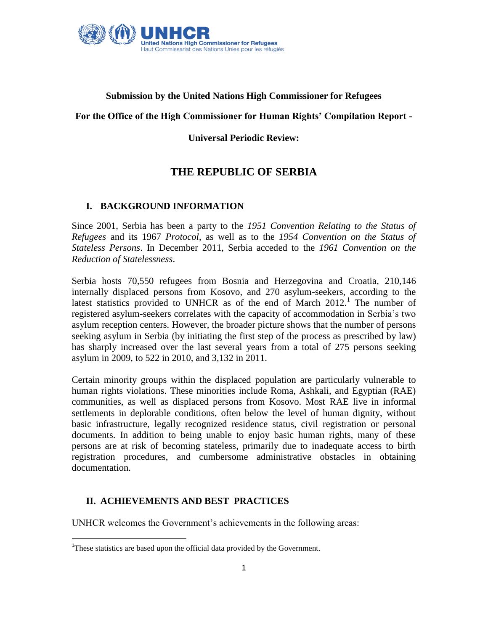

## **Submission by the United Nations High Commissioner for Refugees**

## **For the Office of the High Commissioner for Human Rights' Compilation Report -**

## **Universal Periodic Review:**

# **THE REPUBLIC OF SERBIA**

## **I. BACKGROUND INFORMATION**

Since 2001, Serbia has been a party to the *1951 Convention Relating to the Status of Refugees* and its 1967 *Protocol*, as well as to the *1954 Convention on the Status of Stateless Persons*. In December 2011, Serbia acceded to the *1961 Convention on the Reduction of Statelessness*.

Serbia hosts 70,550 refugees from Bosnia and Herzegovina and Croatia, 210,146 internally displaced persons from Kosovo, and 270 asylum-seekers, according to the latest statistics provided to UNHCR as of the end of March 2012.<sup>1</sup> The number of registered asylum-seekers correlates with the capacity of accommodation in Serbia"s two asylum reception centers. However, the broader picture shows that the number of persons seeking asylum in Serbia (by initiating the first step of the process as prescribed by law) has sharply increased over the last several years from a total of 275 persons seeking asylum in 2009, to 522 in 2010, and 3,132 in 2011.

Certain minority groups within the displaced population are particularly vulnerable to human rights violations. These minorities include Roma, Ashkali, and Egyptian (RAE) communities, as well as displaced persons from Kosovo. Most RAE live in informal settlements in deplorable conditions, often below the level of human dignity, without basic infrastructure, legally recognized residence status, civil registration or personal documents. In addition to being unable to enjoy basic human rights, many of these persons are at risk of becoming stateless, primarily due to inadequate access to birth registration procedures, and cumbersome administrative obstacles in obtaining documentation.

## **II. ACHIEVEMENTS AND BEST PRACTICES**

 $\overline{\phantom{a}}$ 

UNHCR welcomes the Government's achievements in the following areas:

<sup>&</sup>lt;sup>1</sup>These statistics are based upon the official data provided by the Government.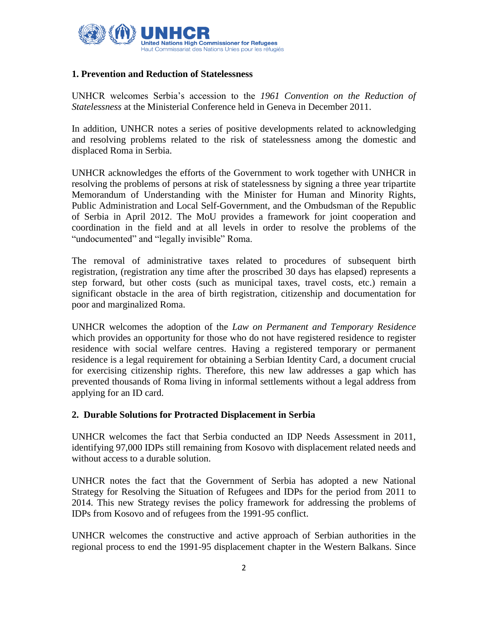

## **1. Prevention and Reduction of Statelessness**

UNHCR welcomes Serbia"s accession to the *1961 Convention on the Reduction of Statelessness* at the Ministerial Conference held in Geneva in December 2011.

In addition, UNHCR notes a series of positive developments related to acknowledging and resolving problems related to the risk of statelessness among the domestic and displaced Roma in Serbia.

UNHCR acknowledges the efforts of the Government to work together with UNHCR in resolving the problems of persons at risk of statelessness by signing a three year tripartite Memorandum of Understanding with the Minister for Human and Minority Rights, Public Administration and Local Self-Government, and the Ombudsman of the Republic of Serbia in April 2012. The MoU provides a framework for joint cooperation and coordination in the field and at all levels in order to resolve the problems of the "undocumented" and "legally invisible" Roma.

The removal of administrative taxes related to procedures of subsequent birth registration, (registration any time after the proscribed 30 days has elapsed) represents a step forward, but other costs (such as municipal taxes, travel costs, etc.) remain a significant obstacle in the area of birth registration, citizenship and documentation for poor and marginalized Roma.

UNHCR welcomes the adoption of the *Law on Permanent and Temporary Residence* which provides an opportunity for those who do not have registered residence to register residence with social welfare centres. Having a registered temporary or permanent residence is a legal requirement for obtaining a Serbian Identity Card, a document crucial for exercising citizenship rights. Therefore, this new law addresses a gap which has prevented thousands of Roma living in informal settlements without a legal address from applying for an ID card.

## **2. Durable Solutions for Protracted Displacement in Serbia**

UNHCR welcomes the fact that Serbia conducted an IDP Needs Assessment in 2011, identifying 97,000 IDPs still remaining from Kosovo with displacement related needs and without access to a durable solution.

UNHCR notes the fact that the Government of Serbia has adopted a new National Strategy for Resolving the Situation of Refugees and IDPs for the period from 2011 to 2014. This new Strategy revises the policy framework for addressing the problems of IDPs from Kosovo and of refugees from the 1991-95 conflict.

UNHCR welcomes the constructive and active approach of Serbian authorities in the regional process to end the 1991-95 displacement chapter in the Western Balkans. Since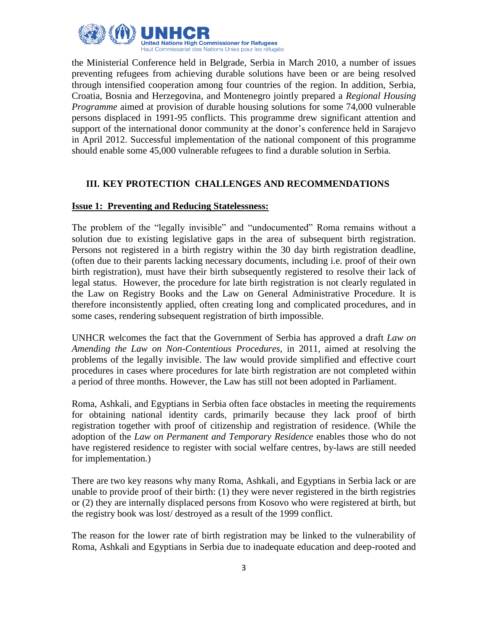

the Ministerial Conference held in Belgrade, Serbia in March 2010, a number of issues preventing refugees from achieving durable solutions have been or are being resolved through intensified cooperation among four countries of the region. In addition, Serbia, Croatia, Bosnia and Herzegovina, and Montenegro jointly prepared a *Regional Housing Programme* aimed at provision of durable housing solutions for some 74,000 vulnerable persons displaced in 1991-95 conflicts. This programme drew significant attention and support of the international donor community at the donor's conference held in Sarajevo in April 2012. Successful implementation of the national component of this programme should enable some 45,000 vulnerable refugees to find a durable solution in Serbia.

## **III. KEY PROTECTION CHALLENGES AND RECOMMENDATIONS**

## **Issue 1: Preventing and Reducing Statelessness:**

The problem of the "legally invisible" and "undocumented" Roma remains without a solution due to existing legislative gaps in the area of subsequent birth registration. Persons not registered in a birth registry within the 30 day birth registration deadline, (often due to their parents lacking necessary documents, including i.e. proof of their own birth registration), must have their birth subsequently registered to resolve their lack of legal status. However, the procedure for late birth registration is not clearly regulated in the Law on Registry Books and the Law on General Administrative Procedure. It is therefore inconsistently applied, often creating long and complicated procedures, and in some cases, rendering subsequent registration of birth impossible.

UNHCR welcomes the fact that the Government of Serbia has approved a draft *Law on Amending the Law on Non-Contentious Procedures*, in 2011, aimed at resolving the problems of the legally invisible. The law would provide simplified and effective court procedures in cases where procedures for late birth registration are not completed within a period of three months. However, the Law has still not been adopted in Parliament.

Roma, Ashkali, and Egyptians in Serbia often face obstacles in meeting the requirements for obtaining national identity cards, primarily because they lack proof of birth registration together with proof of citizenship and registration of residence. (While the adoption of the *Law on Permanent and Temporary Residence* enables those who do not have registered residence to register with social welfare centres, by-laws are still needed for implementation.)

There are two key reasons why many Roma, Ashkali, and Egyptians in Serbia lack or are unable to provide proof of their birth: (1) they were never registered in the birth registries or (2) they are internally displaced persons from Kosovo who were registered at birth, but the registry book was lost/ destroyed as a result of the 1999 conflict.

The reason for the lower rate of birth registration may be linked to the vulnerability of Roma, Ashkali and Egyptians in Serbia due to inadequate education and deep-rooted and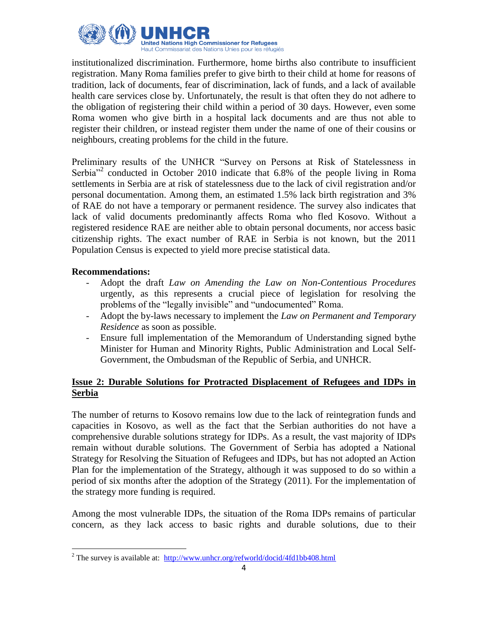

institutionalized discrimination. Furthermore, home births also contribute to insufficient registration. Many Roma families prefer to give birth to their child at home for reasons of tradition, lack of documents, fear of discrimination, lack of funds, and a lack of available health care services close by. Unfortunately, the result is that often they do not adhere to the obligation of registering their child within a period of 30 days. However, even some Roma women who give birth in a hospital lack documents and are thus not able to register their children, or instead register them under the name of one of their cousins or neighbours, creating problems for the child in the future.

Preliminary results of the UNHCR "Survey on Persons at Risk of Statelessness in Serbia<sup>"2</sup> conducted in October 2010 indicate that 6.8% of the people living in Roma settlements in Serbia are at risk of statelessness due to the lack of civil registration and/or personal documentation. Among them, an estimated 1.5% lack birth registration and 3% of RAE do not have a temporary or permanent residence. The survey also indicates that lack of valid documents predominantly affects Roma who fled Kosovo. Without a registered residence RAE are neither able to obtain personal documents, nor access basic citizenship rights. The exact number of RAE in Serbia is not known, but the 2011 Population Census is expected to yield more precise statistical data.

## **Recommendations:**

- Adopt the draft *Law on Amending the Law on Non-Contentious Procedures* urgently, as this represents a crucial piece of legislation for resolving the problems of the "legally invisible" and "undocumented" Roma.
- Adopt the by-laws necessary to implement the *Law on Permanent and Temporary Residence* as soon as possible.
- Ensure full implementation of the Memorandum of Understanding signed bythe Minister for Human and Minority Rights, Public Administration and Local Self-Government, the Ombudsman of the Republic of Serbia, and UNHCR.

## **Issue 2: Durable Solutions for Protracted Displacement of Refugees and IDPs in Serbia**

The number of returns to Kosovo remains low due to the lack of reintegration funds and capacities in Kosovo, as well as the fact that the Serbian authorities do not have a comprehensive durable solutions strategy for IDPs. As a result, the vast majority of IDPs remain without durable solutions. The Government of Serbia has adopted a National Strategy for Resolving the Situation of Refugees and IDPs, but has not adopted an Action Plan for the implementation of the Strategy, although it was supposed to do so within a period of six months after the adoption of the Strategy (2011). For the implementation of the strategy more funding is required.

Among the most vulnerable IDPs, the situation of the Roma IDPs remains of particular concern, as they lack access to basic rights and durable solutions, due to their

 $\overline{\phantom{a}}$ <sup>2</sup> The survey is available at:  $\frac{http://www.unhcr.org/refworld/docid/4fd1bb408.html}{http://www.unhcr.org/refworld/docid/4fd1bb408.html}$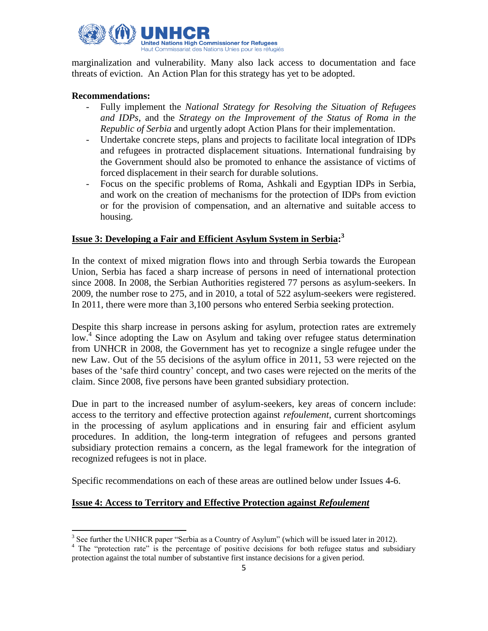

marginalization and vulnerability. Many also lack access to documentation and face threats of eviction. An Action Plan for this strategy has yet to be adopted.

## **Recommendations:**

- Fully implement the *National Strategy for Resolving the Situation of Refugees and IDPs*, and the *Strategy on the Improvement of the Status of Roma in the Republic of Serbia* and urgently adopt Action Plans for their implementation.
- Undertake concrete steps, plans and projects to facilitate local integration of IDPs and refugees in protracted displacement situations. International fundraising by the Government should also be promoted to enhance the assistance of victims of forced displacement in their search for durable solutions.
- Focus on the specific problems of Roma, Ashkali and Egyptian IDPs in Serbia, and work on the creation of mechanisms for the protection of IDPs from eviction or for the provision of compensation, and an alternative and suitable access to housing.

# **Issue 3: Developing a Fair and Efficient Asylum System in Serbia: 3**

In the context of mixed migration flows into and through Serbia towards the European Union, Serbia has faced a sharp increase of persons in need of international protection since 2008. In 2008, the Serbian Authorities registered 77 persons as asylum-seekers. In 2009, the number rose to 275, and in 2010, a total of 522 asylum-seekers were registered. In 2011, there were more than 3,100 persons who entered Serbia seeking protection.

Despite this sharp increase in persons asking for asylum, protection rates are extremely low.<sup>4</sup> Since adopting the Law on Asylum and taking over refugee status determination from UNHCR in 2008, the Government has yet to recognize a single refugee under the new Law. Out of the 55 decisions of the asylum office in 2011, 53 were rejected on the bases of the "safe third country" concept, and two cases were rejected on the merits of the claim. Since 2008, five persons have been granted subsidiary protection.

Due in part to the increased number of asylum-seekers, key areas of concern include: access to the territory and effective protection against *refoulement*, current shortcomings in the processing of asylum applications and in ensuring fair and efficient asylum procedures. In addition, the long-term integration of refugees and persons granted subsidiary protection remains a concern, as the legal framework for the integration of recognized refugees is not in place.

Specific recommendations on each of these areas are outlined below under Issues 4-6.

## **Issue 4: Access to Territory and Effective Protection against** *Refoulement*

<sup>&</sup>lt;sup>3</sup> See further the UNHCR paper "Serbia as a Country of Asylum" (which will be issued later in 2012).

<sup>&</sup>lt;sup>4</sup> The "protection rate" is the percentage of positive decisions for both refugee status and subsidiary protection against the total number of substantive first instance decisions for a given period.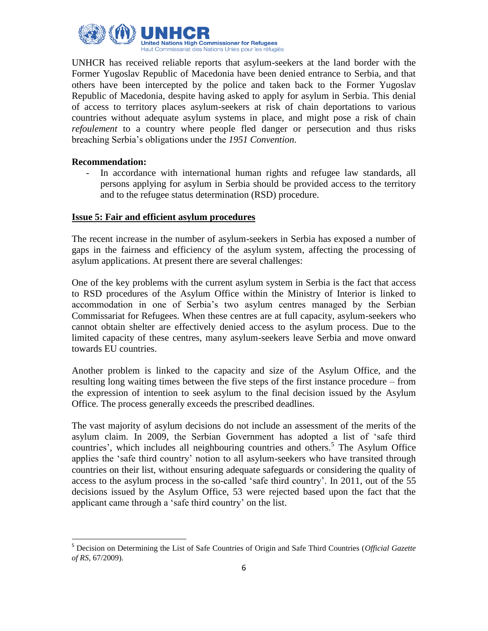

UNHCR has received reliable reports that asylum-seekers at the land border with the Former Yugoslav Republic of Macedonia have been denied entrance to Serbia, and that others have been intercepted by the police and taken back to the Former Yugoslav Republic of Macedonia, despite having asked to apply for asylum in Serbia. This denial of access to territory places asylum-seekers at risk of chain deportations to various countries without adequate asylum systems in place, and might pose a risk of chain *refoulement* to a country where people fled danger or persecution and thus risks breaching Serbia"s obligations under the *1951 Convention*.

#### **Recommendation:**

 $\overline{a}$ 

- In accordance with international human rights and refugee law standards, all persons applying for asylum in Serbia should be provided access to the territory and to the refugee status determination (RSD) procedure.

#### **Issue 5: Fair and efficient asylum procedures**

The recent increase in the number of asylum-seekers in Serbia has exposed a number of gaps in the fairness and efficiency of the asylum system, affecting the processing of asylum applications. At present there are several challenges:

One of the key problems with the current asylum system in Serbia is the fact that access to RSD procedures of the Asylum Office within the Ministry of Interior is linked to accommodation in one of Serbia"s two asylum centres managed by the Serbian Commissariat for Refugees. When these centres are at full capacity, asylum-seekers who cannot obtain shelter are effectively denied access to the asylum process. Due to the limited capacity of these centres, many asylum-seekers leave Serbia and move onward towards EU countries.

Another problem is linked to the capacity and size of the Asylum Office, and the resulting long waiting times between the five steps of the first instance procedure – from the expression of intention to seek asylum to the final decision issued by the Asylum Office. The process generally exceeds the prescribed deadlines.

The vast majority of asylum decisions do not include an assessment of the merits of the asylum claim. In 2009, the Serbian Government has adopted a list of "safe third countries', which includes all neighbouring countries and others.<sup>5</sup> The Asylum Office applies the "safe third country" notion to all asylum-seekers who have transited through countries on their list, without ensuring adequate safeguards or considering the quality of access to the asylum process in the so-called "safe third country". In 2011, out of the 55 decisions issued by the Asylum Office, 53 were rejected based upon the fact that the applicant came through a "safe third country" on the list.

<sup>5</sup> Decision on Determining the List of Safe Countries of Origin and Safe Third Countries (*Official Gazette of RS*, 67/2009).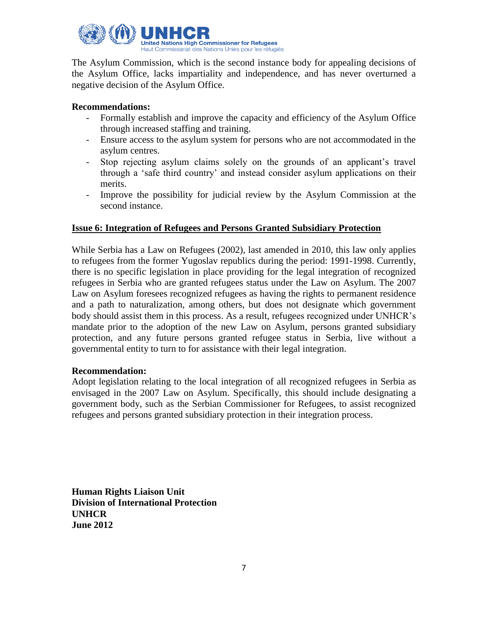

The Asylum Commission, which is the second instance body for appealing decisions of the Asylum Office, lacks impartiality and independence, and has never overturned a negative decision of the Asylum Office.

## **Recommendations:**

- Formally establish and improve the capacity and efficiency of the Asylum Office through increased staffing and training.
- Ensure access to the asylum system for persons who are not accommodated in the asylum centres.
- Stop rejecting asylum claims solely on the grounds of an applicant"s travel through a "safe third country" and instead consider asylum applications on their merits.
- Improve the possibility for judicial review by the Asylum Commission at the second instance.

## **Issue 6: Integration of Refugees and Persons Granted Subsidiary Protection**

While Serbia has a Law on Refugees (2002), last amended in 2010, this law only applies to refugees from the former Yugoslav republics during the period: 1991-1998. Currently, there is no specific legislation in place providing for the legal integration of recognized refugees in Serbia who are granted refugees status under the Law on Asylum. The 2007 Law on Asylum foresees recognized refugees as having the rights to permanent residence and a path to naturalization, among others, but does not designate which government body should assist them in this process. As a result, refugees recognized under UNHCR's mandate prior to the adoption of the new Law on Asylum, persons granted subsidiary protection, and any future persons granted refugee status in Serbia, live without a governmental entity to turn to for assistance with their legal integration.

#### **Recommendation:**

Adopt legislation relating to the local integration of all recognized refugees in Serbia as envisaged in the 2007 Law on Asylum. Specifically, this should include designating a government body, such as the Serbian Commissioner for Refugees, to assist recognized refugees and persons granted subsidiary protection in their integration process.

**Human Rights Liaison Unit Division of International Protection UNHCR June 2012**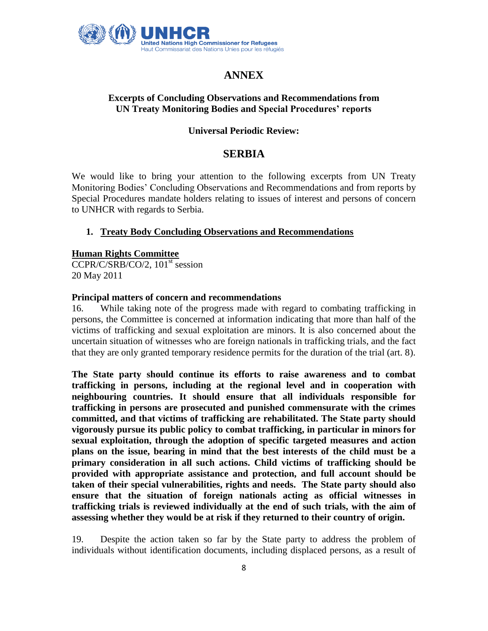

# **ANNEX**

## **Excerpts of Concluding Observations and Recommendations from UN Treaty Monitoring Bodies and Special Procedures' reports**

## **Universal Periodic Review:**

# **SERBIA**

We would like to bring your attention to the following excerpts from UN Treaty Monitoring Bodies" Concluding Observations and Recommendations and from reports by Special Procedures mandate holders relating to issues of interest and persons of concern to UNHCR with regards to Serbia.

## **1. Treaty Body Concluding Observations and Recommendations**

#### **Human Rights Committee**

 $CCPR/C/SRB/CO/2$ ,  $101<sup>st</sup>$  session 20 May 2011

#### **Principal matters of concern and recommendations**

16. While taking note of the progress made with regard to combating trafficking in persons, the Committee is concerned at information indicating that more than half of the victims of trafficking and sexual exploitation are minors. It is also concerned about the uncertain situation of witnesses who are foreign nationals in trafficking trials, and the fact that they are only granted temporary residence permits for the duration of the trial (art. 8).

**The State party should continue its efforts to raise awareness and to combat trafficking in persons, including at the regional level and in cooperation with neighbouring countries. It should ensure that all individuals responsible for trafficking in persons are prosecuted and punished commensurate with the crimes committed, and that victims of trafficking are rehabilitated. The State party should vigorously pursue its public policy to combat trafficking, in particular in minors for sexual exploitation, through the adoption of specific targeted measures and action plans on the issue, bearing in mind that the best interests of the child must be a primary consideration in all such actions. Child victims of trafficking should be provided with appropriate assistance and protection, and full account should be taken of their special vulnerabilities, rights and needs. The State party should also ensure that the situation of foreign nationals acting as official witnesses in trafficking trials is reviewed individually at the end of such trials, with the aim of assessing whether they would be at risk if they returned to their country of origin.**

19. Despite the action taken so far by the State party to address the problem of individuals without identification documents, including displaced persons, as a result of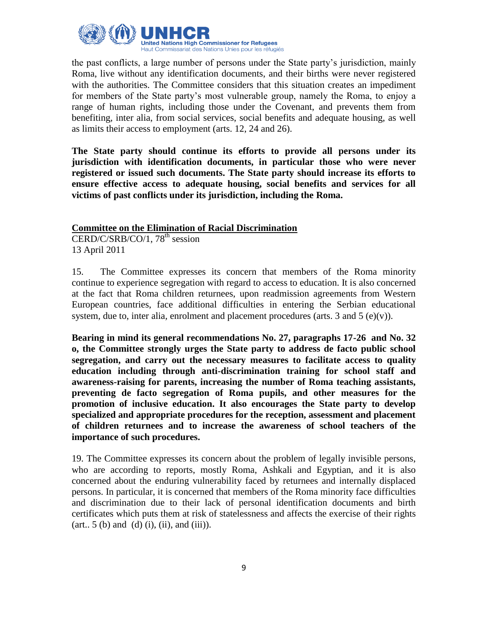

the past conflicts, a large number of persons under the State party"s jurisdiction, mainly Roma, live without any identification documents, and their births were never registered with the authorities. The Committee considers that this situation creates an impediment for members of the State party"s most vulnerable group, namely the Roma, to enjoy a range of human rights, including those under the Covenant, and prevents them from benefiting, inter alia, from social services, social benefits and adequate housing, as well as limits their access to employment (arts. 12, 24 and 26).

**The State party should continue its efforts to provide all persons under its jurisdiction with identification documents, in particular those who were never registered or issued such documents. The State party should increase its efforts to ensure effective access to adequate housing, social benefits and services for all victims of past conflicts under its jurisdiction, including the Roma.**

#### **Committee on the Elimination of Racial Discrimination**

 $CERD/C/SRB/CO/1, 78<sup>th</sup> session$ 13 April 2011

15. The Committee expresses its concern that members of the Roma minority continue to experience segregation with regard to access to education. It is also concerned at the fact that Roma children returnees, upon readmission agreements from Western European countries, face additional difficulties in entering the Serbian educational system, due to, inter alia, enrolment and placement procedures (arts. 3 and  $5$  (e)(v)).

**Bearing in mind its general recommendations No. 27, paragraphs 17-26 and No. 32 o, the Committee strongly urges the State party to address de facto public school segregation, and carry out the necessary measures to facilitate access to quality education including through anti-discrimination training for school staff and awareness-raising for parents, increasing the number of Roma teaching assistants, preventing de facto segregation of Roma pupils, and other measures for the promotion of inclusive education. It also encourages the State party to develop specialized and appropriate procedures for the reception, assessment and placement of children returnees and to increase the awareness of school teachers of the importance of such procedures.**

19. The Committee expresses its concern about the problem of legally invisible persons, who are according to reports, mostly Roma, Ashkali and Egyptian, and it is also concerned about the enduring vulnerability faced by returnees and internally displaced persons. In particular, it is concerned that members of the Roma minority face difficulties and discrimination due to their lack of personal identification documents and birth certificates which puts them at risk of statelessness and affects the exercise of their rights  $(\text{art. } 5 \text{ (b) and (d) (i), (ii), and (iii)}.$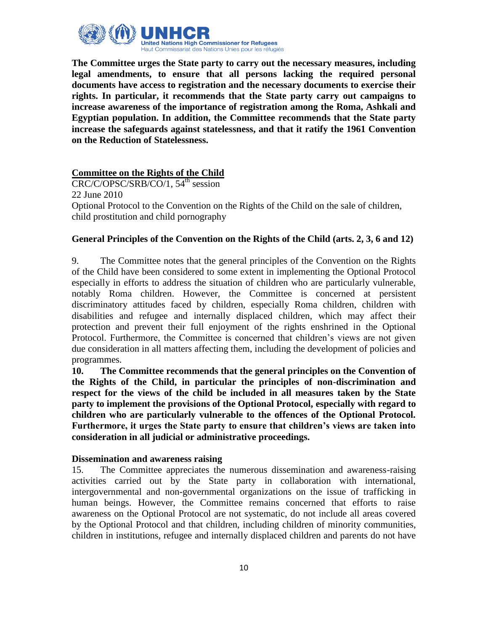

**The Committee urges the State party to carry out the necessary measures, including legal amendments, to ensure that all persons lacking the required personal documents have access to registration and the necessary documents to exercise their rights. In particular, it recommends that the State party carry out campaigns to increase awareness of the importance of registration among the Roma, Ashkali and Egyptian population. In addition, the Committee recommends that the State party increase the safeguards against statelessness, and that it ratify the 1961 Convention on the Reduction of Statelessness.**

## **Committee on the Rights of the Child**

 $CRC/C/OPSC/SRB/CO/1, 54<sup>th</sup> session$ 22 June 2010 Optional Protocol to the Convention on the Rights of the Child on the sale of children, child prostitution and child pornography

## **General Principles of the Convention on the Rights of the Child (arts. 2, 3, 6 and 12)**

9. The Committee notes that the general principles of the Convention on the Rights of the Child have been considered to some extent in implementing the Optional Protocol especially in efforts to address the situation of children who are particularly vulnerable, notably Roma children. However, the Committee is concerned at persistent discriminatory attitudes faced by children, especially Roma children, children with disabilities and refugee and internally displaced children, which may affect their protection and prevent their full enjoyment of the rights enshrined in the Optional Protocol. Furthermore, the Committee is concerned that children's views are not given due consideration in all matters affecting them, including the development of policies and programmes.

**10. The Committee recommends that the general principles on the Convention of the Rights of the Child, in particular the principles of non-discrimination and respect for the views of the child be included in all measures taken by the State party to implement the provisions of the Optional Protocol, especially with regard to children who are particularly vulnerable to the offences of the Optional Protocol. Furthermore, it urges the State party to ensure that children's views are taken into consideration in all judicial or administrative proceedings.**

## **Dissemination and awareness raising**

15. The Committee appreciates the numerous dissemination and awareness-raising activities carried out by the State party in collaboration with international, intergovernmental and non-governmental organizations on the issue of trafficking in human beings. However, the Committee remains concerned that efforts to raise awareness on the Optional Protocol are not systematic, do not include all areas covered by the Optional Protocol and that children, including children of minority communities, children in institutions, refugee and internally displaced children and parents do not have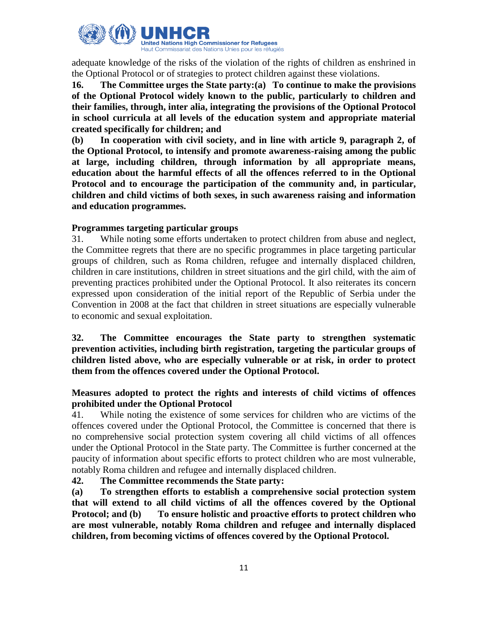

adequate knowledge of the risks of the violation of the rights of children as enshrined in the Optional Protocol or of strategies to protect children against these violations.

**16. The Committee urges the State party:(a) To continue to make the provisions of the Optional Protocol widely known to the public, particularly to children and their families, through, inter alia, integrating the provisions of the Optional Protocol in school curricula at all levels of the education system and appropriate material created specifically for children; and**

**(b) In cooperation with civil society, and in line with article 9, paragraph 2, of the Optional Protocol, to intensify and promote awareness-raising among the public at large, including children, through information by all appropriate means, education about the harmful effects of all the offences referred to in the Optional Protocol and to encourage the participation of the community and, in particular, children and child victims of both sexes, in such awareness raising and information and education programmes.**

## **Programmes targeting particular groups**

31. While noting some efforts undertaken to protect children from abuse and neglect, the Committee regrets that there are no specific programmes in place targeting particular groups of children, such as Roma children, refugee and internally displaced children, children in care institutions, children in street situations and the girl child, with the aim of preventing practices prohibited under the Optional Protocol. It also reiterates its concern expressed upon consideration of the initial report of the Republic of Serbia under the Convention in 2008 at the fact that children in street situations are especially vulnerable to economic and sexual exploitation.

## **32. The Committee encourages the State party to strengthen systematic prevention activities, including birth registration, targeting the particular groups of children listed above, who are especially vulnerable or at risk, in order to protect them from the offences covered under the Optional Protocol.**

## **Measures adopted to protect the rights and interests of child victims of offences prohibited under the Optional Protocol**

41. While noting the existence of some services for children who are victims of the offences covered under the Optional Protocol, the Committee is concerned that there is no comprehensive social protection system covering all child victims of all offences under the Optional Protocol in the State party. The Committee is further concerned at the paucity of information about specific efforts to protect children who are most vulnerable, notably Roma children and refugee and internally displaced children.

## **42. The Committee recommends the State party:**

**(a) To strengthen efforts to establish a comprehensive social protection system that will extend to all child victims of all the offences covered by the Optional Protocol; and (b) To ensure holistic and proactive efforts to protect children who are most vulnerable, notably Roma children and refugee and internally displaced children, from becoming victims of offences covered by the Optional Protocol.**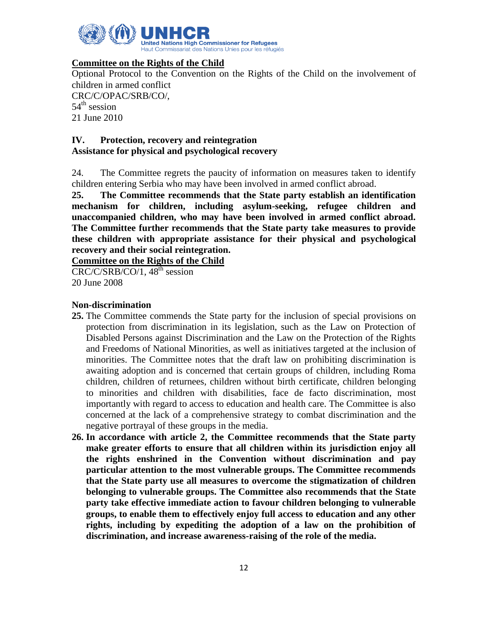

## **Committee on the Rights of the Child**

Optional Protocol to the Convention on the Rights of the Child on the involvement of children in armed conflict CRC/C/OPAC/SRB/CO/,

 $54<sup>th</sup>$  session 21 June 2010

## **IV. Protection, recovery and reintegration Assistance for physical and psychological recovery**

24. The Committee regrets the paucity of information on measures taken to identify children entering Serbia who may have been involved in armed conflict abroad.

**25. The Committee recommends that the State party establish an identification mechanism for children, including asylum-seeking, refugee children and unaccompanied children, who may have been involved in armed conflict abroad. The Committee further recommends that the State party take measures to provide these children with appropriate assistance for their physical and psychological recovery and their social reintegration.**

**Committee on the Rights of the Child** 

 $\overline{\text{CRC/C/SRB/CO/1, 48}^{\text{th}}\text{ session}}$ 20 June 2008

#### **Non-discrimination**

- **25.** The Committee commends the State party for the inclusion of special provisions on protection from discrimination in its legislation, such as the Law on Protection of Disabled Persons against Discrimination and the Law on the Protection of the Rights and Freedoms of National Minorities, as well as initiatives targeted at the inclusion of minorities. The Committee notes that the draft law on prohibiting discrimination is awaiting adoption and is concerned that certain groups of children, including Roma children, children of returnees, children without birth certificate, children belonging to minorities and children with disabilities, face de facto discrimination, most importantly with regard to access to education and health care. The Committee is also concerned at the lack of a comprehensive strategy to combat discrimination and the negative portrayal of these groups in the media.
- **26. In accordance with article 2, the Committee recommends that the State party make greater efforts to ensure that all children within its jurisdiction enjoy all the rights enshrined in the Convention without discrimination and pay particular attention to the most vulnerable groups. The Committee recommends that the State party use all measures to overcome the stigmatization of children belonging to vulnerable groups. The Committee also recommends that the State party take effective immediate action to favour children belonging to vulnerable groups, to enable them to effectively enjoy full access to education and any other rights, including by expediting the adoption of a law on the prohibition of discrimination, and increase awareness-raising of the role of the media.**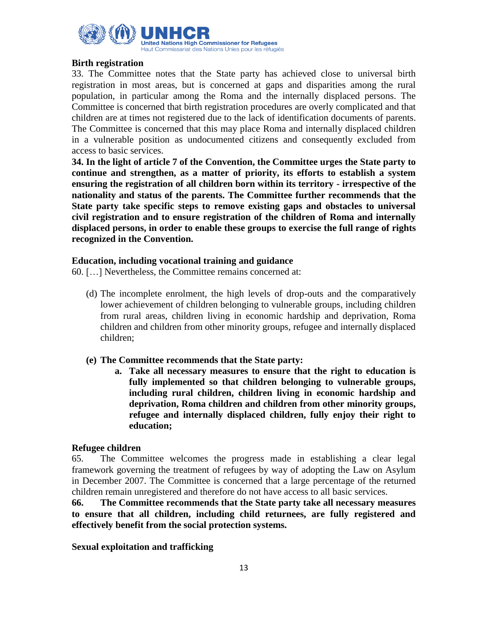

## **Birth registration**

33. The Committee notes that the State party has achieved close to universal birth registration in most areas, but is concerned at gaps and disparities among the rural population, in particular among the Roma and the internally displaced persons. The Committee is concerned that birth registration procedures are overly complicated and that children are at times not registered due to the lack of identification documents of parents. The Committee is concerned that this may place Roma and internally displaced children in a vulnerable position as undocumented citizens and consequently excluded from access to basic services.

**34. In the light of article 7 of the Convention, the Committee urges the State party to continue and strengthen, as a matter of priority, its efforts to establish a system ensuring the registration of all children born within its territory - irrespective of the nationality and status of the parents. The Committee further recommends that the State party take specific steps to remove existing gaps and obstacles to universal civil registration and to ensure registration of the children of Roma and internally displaced persons, in order to enable these groups to exercise the full range of rights recognized in the Convention.** 

#### **Education, including vocational training and guidance**

60. […] Nevertheless, the Committee remains concerned at:

(d) The incomplete enrolment, the high levels of drop-outs and the comparatively lower achievement of children belonging to vulnerable groups, including children from rural areas, children living in economic hardship and deprivation, Roma children and children from other minority groups, refugee and internally displaced children;

## **(e) The Committee recommends that the State party:**

**a. Take all necessary measures to ensure that the right to education is fully implemented so that children belonging to vulnerable groups, including rural children, children living in economic hardship and deprivation, Roma children and children from other minority groups, refugee and internally displaced children, fully enjoy their right to education;**

#### **Refugee children**

65. The Committee welcomes the progress made in establishing a clear legal framework governing the treatment of refugees by way of adopting the Law on Asylum in December 2007. The Committee is concerned that a large percentage of the returned children remain unregistered and therefore do not have access to all basic services.

**66. The Committee recommends that the State party take all necessary measures to ensure that all children, including child returnees, are fully registered and effectively benefit from the social protection systems.**

**Sexual exploitation and trafficking**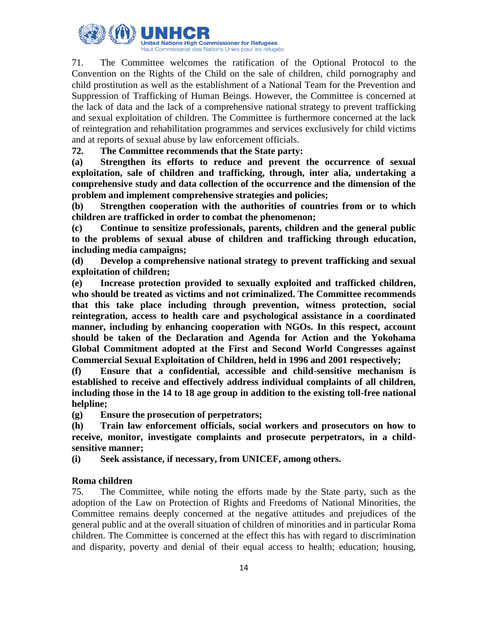

71. The Committee welcomes the ratification of the Optional Protocol to the Convention on the Rights of the Child on the sale of children, child pornography and child prostitution as well as the establishment of a National Team for the Prevention and Suppression of Trafficking of Human Beings. However, the Committee is concerned at the lack of data and the lack of a comprehensive national strategy to prevent trafficking and sexual exploitation of children. The Committee is furthermore concerned at the lack of reintegration and rehabilitation programmes and services exclusively for child victims and at reports of sexual abuse by law enforcement officials.

**72. The Committee recommends that the State party:**

**(a) Strengthen its efforts to reduce and prevent the occurrence of sexual exploitation, sale of children and trafficking, through, inter alia, undertaking a comprehensive study and data collection of the occurrence and the dimension of the problem and implement comprehensive strategies and policies;** 

**(b) Strengthen cooperation with the authorities of countries from or to which children are trafficked in order to combat the phenomenon;**

**(c) Continue to sensitize professionals, parents, children and the general public to the problems of sexual abuse of children and trafficking through education, including media campaigns;**

**(d) Develop a comprehensive national strategy to prevent trafficking and sexual exploitation of children;**

**(e) Increase protection provided to sexually exploited and trafficked children, who should be treated as victims and not criminalized. The Committee recommends that this take place including through prevention, witness protection, social reintegration, access to health care and psychological assistance in a coordinated manner, including by enhancing cooperation with NGOs. In this respect, account should be taken of the Declaration and Agenda for Action and the Yokohama Global Commitment adopted at the First and Second World Congresses against Commercial Sexual Exploitation of Children, held in 1996 and 2001 respectively;**

**(f) Ensure that a confidential, accessible and child-sensitive mechanism is established to receive and effectively address individual complaints of all children, including those in the 14 to 18 age group in addition to the existing toll-free national helpline;**

**(g) Ensure the prosecution of perpetrators;**

**(h) Train law enforcement officials, social workers and prosecutors on how to receive, monitor, investigate complaints and prosecute perpetrators, in a childsensitive manner;** 

**(i) Seek assistance, if necessary, from UNICEF, among others.**

## **Roma children**

75. The Committee, while noting the efforts made by the State party, such as the adoption of the Law on Protection of Rights and Freedoms of National Minorities, the Committee remains deeply concerned at the negative attitudes and prejudices of the general public and at the overall situation of children of minorities and in particular Roma children. The Committee is concerned at the effect this has with regard to discrimination and disparity, poverty and denial of their equal access to health; education; housing,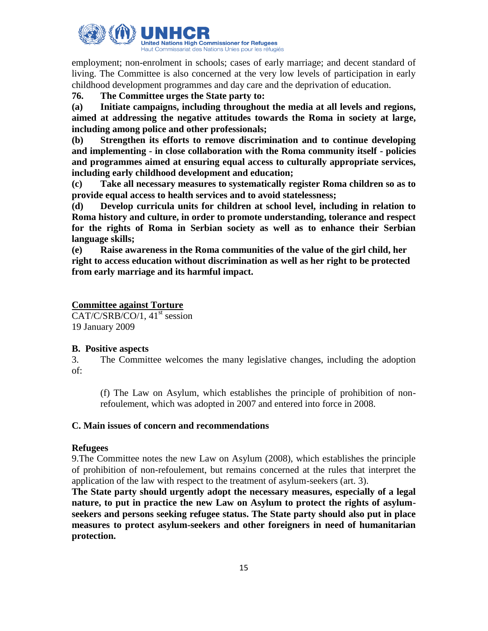

employment; non-enrolment in schools; cases of early marriage; and decent standard of living. The Committee is also concerned at the very low levels of participation in early childhood development programmes and day care and the deprivation of education.

## **76. The Committee urges the State party to:**

**(a) Initiate campaigns, including throughout the media at all levels and regions, aimed at addressing the negative attitudes towards the Roma in society at large, including among police and other professionals;**

**(b) Strengthen its efforts to remove discrimination and to continue developing and implementing - in close collaboration with the Roma community itself - policies and programmes aimed at ensuring equal access to culturally appropriate services, including early childhood development and education;** 

**(c) Take all necessary measures to systematically register Roma children so as to provide equal access to health services and to avoid statelessness;**

**(d) Develop curricula units for children at school level, including in relation to Roma history and culture, in order to promote understanding, tolerance and respect for the rights of Roma in Serbian society as well as to enhance their Serbian language skills;** 

**(e) Raise awareness in the Roma communities of the value of the girl child, her right to access education without discrimination as well as her right to be protected from early marriage and its harmful impact.**

## **Committee against Torture**

 $CAT/C/SRB/CO/1, 41<sup>st</sup> session$ 19 January 2009

## **B. Positive aspects**

3. The Committee welcomes the many legislative changes, including the adoption of:

(f) The Law on Asylum, which establishes the principle of prohibition of nonrefoulement, which was adopted in 2007 and entered into force in 2008.

## **C. Main issues of concern and recommendations**

## **Refugees**

9.The Committee notes the new Law on Asylum (2008), which establishes the principle of prohibition of non-refoulement, but remains concerned at the rules that interpret the application of the law with respect to the treatment of asylum-seekers (art. 3).

**The State party should urgently adopt the necessary measures, especially of a legal nature, to put in practice the new Law on Asylum to protect the rights of asylumseekers and persons seeking refugee status. The State party should also put in place measures to protect asylum-seekers and other foreigners in need of humanitarian protection.**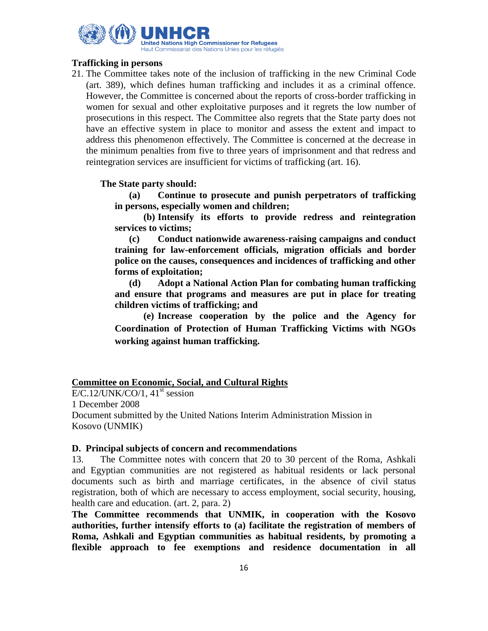

## **Trafficking in persons**

21. The Committee takes note of the inclusion of trafficking in the new Criminal Code (art. 389), which defines human trafficking and includes it as a criminal offence. However, the Committee is concerned about the reports of cross-border trafficking in women for sexual and other exploitative purposes and it regrets the low number of prosecutions in this respect. The Committee also regrets that the State party does not have an effective system in place to monitor and assess the extent and impact to address this phenomenon effectively. The Committee is concerned at the decrease in the minimum penalties from five to three years of imprisonment and that redress and reintegration services are insufficient for victims of trafficking (art. 16).

## **The State party should:**

**(a) Continue to prosecute and punish perpetrators of trafficking in persons, especially women and children;**

**(b) Intensify its efforts to provide redress and reintegration services to victims;** 

**(c) Conduct nationwide awareness-raising campaigns and conduct training for law-enforcement officials, migration officials and border police on the causes, consequences and incidences of trafficking and other forms of exploitation;**

**(d) Adopt a National Action Plan for combating human trafficking and ensure that programs and measures are put in place for treating children victims of trafficking; and**

**(e) Increase cooperation by the police and the Agency for Coordination of Protection of Human Trafficking Victims with NGOs working against human trafficking.**

## **Committee on Economic, Social, and Cultural Rights**

 $E/C.12/UNK/CO/1$ ,  $41<sup>st</sup>$  session 1 December 2008 Document submitted by the United Nations Interim Administration Mission in Kosovo (UNMIK)

#### **D. Principal subjects of concern and recommendations**

13. The Committee notes with concern that 20 to 30 percent of the Roma, Ashkali and Egyptian communities are not registered as habitual residents or lack personal documents such as birth and marriage certificates, in the absence of civil status registration, both of which are necessary to access employment, social security, housing, health care and education. (art. 2, para. 2)

**The Committee recommends that UNMIK, in cooperation with the Kosovo authorities, further intensify efforts to (a) facilitate the registration of members of Roma, Ashkali and Egyptian communities as habitual residents, by promoting a flexible approach to fee exemptions and residence documentation in all**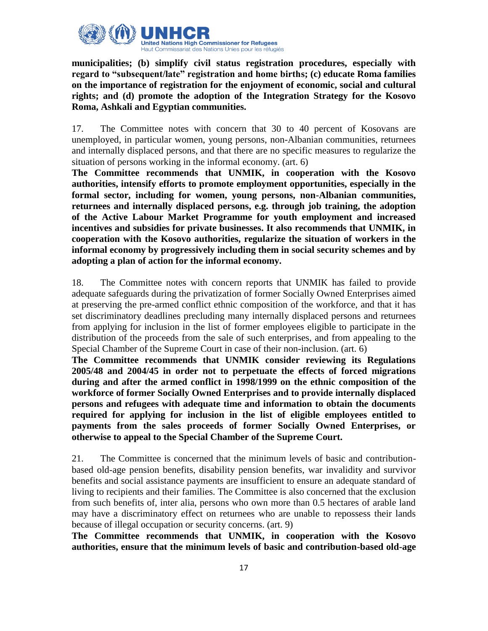

**municipalities; (b) simplify civil status registration procedures, especially with regard to "subsequent/late" registration and home births; (c) educate Roma families on the importance of registration for the enjoyment of economic, social and cultural rights; and (d) promote the adoption of the Integration Strategy for the Kosovo Roma, Ashkali and Egyptian communities.**

17. The Committee notes with concern that 30 to 40 percent of Kosovans are unemployed, in particular women, young persons, non-Albanian communities, returnees and internally displaced persons, and that there are no specific measures to regularize the situation of persons working in the informal economy. (art. 6)

**The Committee recommends that UNMIK, in cooperation with the Kosovo authorities, intensify efforts to promote employment opportunities, especially in the formal sector, including for women, young persons, non-Albanian communities, returnees and internally displaced persons, e.g. through job training, the adoption of the Active Labour Market Programme for youth employment and increased incentives and subsidies for private businesses. It also recommends that UNMIK, in cooperation with the Kosovo authorities, regularize the situation of workers in the informal economy by progressively including them in social security schemes and by adopting a plan of action for the informal economy.**

18. The Committee notes with concern reports that UNMIK has failed to provide adequate safeguards during the privatization of former Socially Owned Enterprises aimed at preserving the pre-armed conflict ethnic composition of the workforce, and that it has set discriminatory deadlines precluding many internally displaced persons and returnees from applying for inclusion in the list of former employees eligible to participate in the distribution of the proceeds from the sale of such enterprises, and from appealing to the Special Chamber of the Supreme Court in case of their non-inclusion. (art. 6)

**The Committee recommends that UNMIK consider reviewing its Regulations 2005/48 and 2004/45 in order not to perpetuate the effects of forced migrations during and after the armed conflict in 1998/1999 on the ethnic composition of the workforce of former Socially Owned Enterprises and to provide internally displaced persons and refugees with adequate time and information to obtain the documents required for applying for inclusion in the list of eligible employees entitled to payments from the sales proceeds of former Socially Owned Enterprises, or otherwise to appeal to the Special Chamber of the Supreme Court.**

21. The Committee is concerned that the minimum levels of basic and contributionbased old-age pension benefits, disability pension benefits, war invalidity and survivor benefits and social assistance payments are insufficient to ensure an adequate standard of living to recipients and their families. The Committee is also concerned that the exclusion from such benefits of, inter alia, persons who own more than 0.5 hectares of arable land may have a discriminatory effect on returnees who are unable to repossess their lands because of illegal occupation or security concerns. (art. 9)

**The Committee recommends that UNMIK, in cooperation with the Kosovo authorities, ensure that the minimum levels of basic and contribution-based old-age**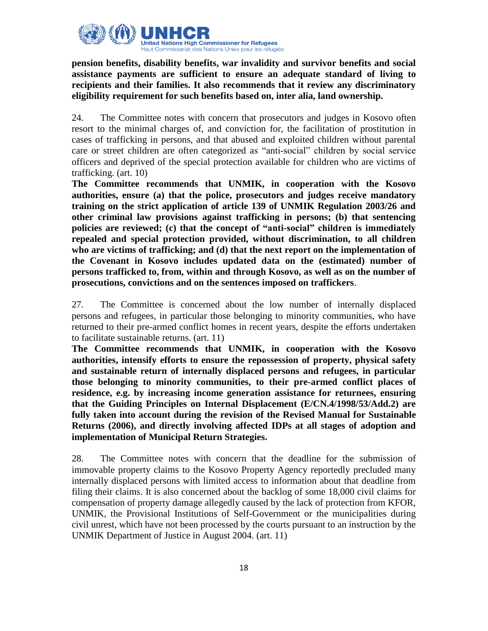

**pension benefits, disability benefits, war invalidity and survivor benefits and social assistance payments are sufficient to ensure an adequate standard of living to recipients and their families. It also recommends that it review any discriminatory eligibility requirement for such benefits based on, inter alia, land ownership.**

24. The Committee notes with concern that prosecutors and judges in Kosovo often resort to the minimal charges of, and conviction for, the facilitation of prostitution in cases of trafficking in persons, and that abused and exploited children without parental care or street children are often categorized as "anti-social" children by social service officers and deprived of the special protection available for children who are victims of trafficking. (art. 10)

**The Committee recommends that UNMIK, in cooperation with the Kosovo authorities, ensure (a) that the police, prosecutors and judges receive mandatory training on the strict application of article 139 of UNMIK Regulation 2003/26 and other criminal law provisions against trafficking in persons; (b) that sentencing policies are reviewed; (c) that the concept of "anti-social" children is immediately repealed and special protection provided, without discrimination, to all children who are victims of trafficking; and (d) that the next report on the implementation of the Covenant in Kosovo includes updated data on the (estimated) number of persons trafficked to, from, within and through Kosovo, as well as on the number of prosecutions, convictions and on the sentences imposed on traffickers**.

27. The Committee is concerned about the low number of internally displaced persons and refugees, in particular those belonging to minority communities, who have returned to their pre-armed conflict homes in recent years, despite the efforts undertaken to facilitate sustainable returns. (art. 11)

**The Committee recommends that UNMIK, in cooperation with the Kosovo authorities, intensify efforts to ensure the repossession of property, physical safety and sustainable return of internally displaced persons and refugees, in particular those belonging to minority communities, to their pre-armed conflict places of residence, e.g. by increasing income generation assistance for returnees, ensuring that the Guiding Principles on Internal Displacement (E/CN.4/1998/53/Add.2) are fully taken into account during the revision of the Revised Manual for Sustainable Returns (2006), and directly involving affected IDPs at all stages of adoption and implementation of Municipal Return Strategies.**

28. The Committee notes with concern that the deadline for the submission of immovable property claims to the Kosovo Property Agency reportedly precluded many internally displaced persons with limited access to information about that deadline from filing their claims. It is also concerned about the backlog of some 18,000 civil claims for compensation of property damage allegedly caused by the lack of protection from KFOR, UNMIK, the Provisional Institutions of Self-Government or the municipalities during civil unrest, which have not been processed by the courts pursuant to an instruction by the UNMIK Department of Justice in August 2004. (art. 11)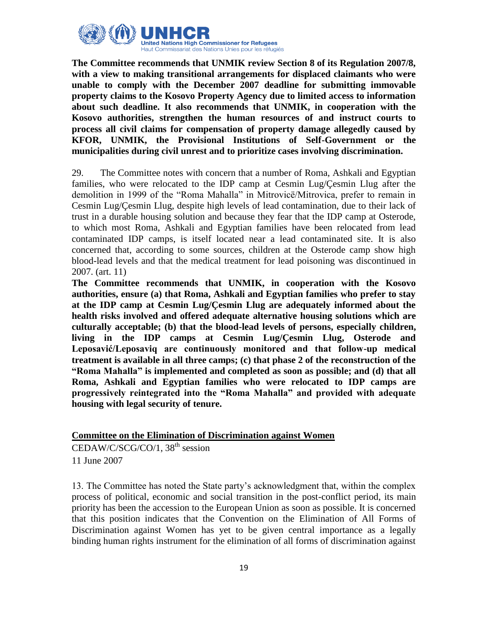

**The Committee recommends that UNMIK review Section 8 of its Regulation 2007/8, with a view to making transitional arrangements for displaced claimants who were unable to comply with the December 2007 deadline for submitting immovable property claims to the Kosovo Property Agency due to limited access to information about such deadline. It also recommends that UNMIK, in cooperation with the Kosovo authorities, strengthen the human resources of and instruct courts to process all civil claims for compensation of property damage allegedly caused by KFOR, UNMIK, the Provisional Institutions of Self-Government or the municipalities during civil unrest and to prioritize cases involving discrimination.**

29. The Committee notes with concern that a number of Roma, Ashkali and Egyptian families, who were relocated to the IDP camp at Cesmin Lug/Çesmin Llug after the demolition in 1999 of the "Roma Mahalla" in Mitrovicë/Mitrovica, prefer to remain in Cesmin Lug/Çesmin Llug, despite high levels of lead contamination, due to their lack of trust in a durable housing solution and because they fear that the IDP camp at Osterode, to which most Roma, Ashkali and Egyptian families have been relocated from lead contaminated IDP camps, is itself located near a lead contaminated site. It is also concerned that, according to some sources, children at the Osterode camp show high blood-lead levels and that the medical treatment for lead poisoning was discontinued in 2007. (art. 11)

**The Committee recommends that UNMIK, in cooperation with the Kosovo authorities, ensure (a) that Roma, Ashkali and Egyptian families who prefer to stay at the IDP camp at Cesmin Lug/Çesmin Llug are adequately informed about the health risks involved and offered adequate alternative housing solutions which are culturally acceptable; (b) that the blood-lead levels of persons, especially children, living in the IDP camps at Cesmin Lug/Çesmin Llug, Osterode and Leposavić/Leposaviq are continuously monitored and that follow-up medical treatment is available in all three camps; (c) that phase 2 of the reconstruction of the "Roma Mahalla" is implemented and completed as soon as possible; and (d) that all Roma, Ashkali and Egyptian families who were relocated to IDP camps are progressively reintegrated into the "Roma Mahalla" and provided with adequate housing with legal security of tenure.**

## **Committee on the Elimination of Discrimination against Women**

 $CEDAW/C/SCG/CO/1, 38<sup>th</sup> session$ 11 June 2007

13. The Committee has noted the State party"s acknowledgment that, within the complex process of political, economic and social transition in the post-conflict period, its main priority has been the accession to the European Union as soon as possible. It is concerned that this position indicates that the Convention on the Elimination of All Forms of Discrimination against Women has yet to be given central importance as a legally binding human rights instrument for the elimination of all forms of discrimination against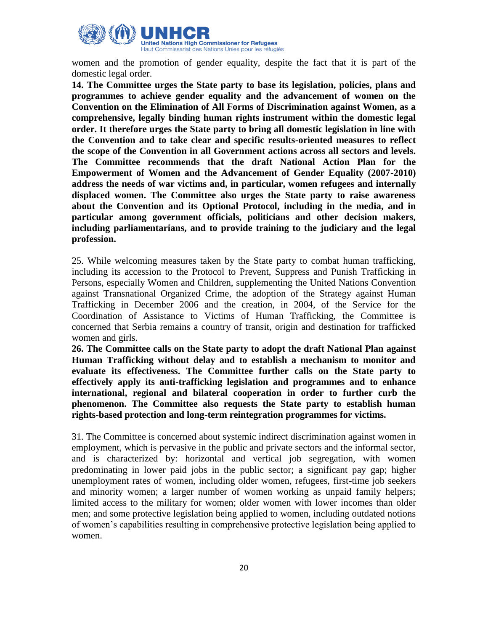

women and the promotion of gender equality, despite the fact that it is part of the domestic legal order.

**14. The Committee urges the State party to base its legislation, policies, plans and programmes to achieve gender equality and the advancement of women on the Convention on the Elimination of All Forms of Discrimination against Women, as a comprehensive, legally binding human rights instrument within the domestic legal order. It therefore urges the State party to bring all domestic legislation in line with the Convention and to take clear and specific results-oriented measures to reflect the scope of the Convention in all Government actions across all sectors and levels. The Committee recommends that the draft National Action Plan for the Empowerment of Women and the Advancement of Gender Equality (2007-2010) address the needs of war victims and, in particular, women refugees and internally displaced women. The Committee also urges the State party to raise awareness about the Convention and its Optional Protocol, including in the media, and in particular among government officials, politicians and other decision makers, including parliamentarians, and to provide training to the judiciary and the legal profession.**

25. While welcoming measures taken by the State party to combat human trafficking, including its accession to the Protocol to Prevent, Suppress and Punish Trafficking in Persons, especially Women and Children, supplementing the United Nations Convention against Transnational Organized Crime, the adoption of the Strategy against Human Trafficking in December 2006 and the creation, in 2004, of the Service for the Coordination of Assistance to Victims of Human Trafficking, the Committee is concerned that Serbia remains a country of transit, origin and destination for trafficked women and girls.

**26. The Committee calls on the State party to adopt the draft National Plan against Human Trafficking without delay and to establish a mechanism to monitor and evaluate its effectiveness. The Committee further calls on the State party to effectively apply its anti-trafficking legislation and programmes and to enhance international, regional and bilateral cooperation in order to further curb the phenomenon. The Committee also requests the State party to establish human rights-based protection and long-term reintegration programmes for victims.**

31. The Committee is concerned about systemic indirect discrimination against women in employment, which is pervasive in the public and private sectors and the informal sector, and is characterized by: horizontal and vertical job segregation, with women predominating in lower paid jobs in the public sector; a significant pay gap; higher unemployment rates of women, including older women, refugees, first-time job seekers and minority women; a larger number of women working as unpaid family helpers; limited access to the military for women; older women with lower incomes than older men; and some protective legislation being applied to women, including outdated notions of women"s capabilities resulting in comprehensive protective legislation being applied to women.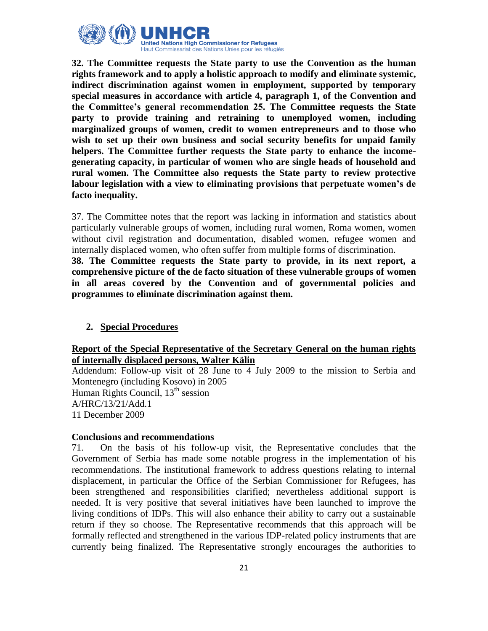

**32. The Committee requests the State party to use the Convention as the human rights framework and to apply a holistic approach to modify and eliminate systemic, indirect discrimination against women in employment, supported by temporary special measures in accordance with article 4, paragraph 1, of the Convention and the Committee's general recommendation 25. The Committee requests the State party to provide training and retraining to unemployed women, including marginalized groups of women, credit to women entrepreneurs and to those who wish to set up their own business and social security benefits for unpaid family helpers. The Committee further requests the State party to enhance the incomegenerating capacity, in particular of women who are single heads of household and rural women. The Committee also requests the State party to review protective labour legislation with a view to eliminating provisions that perpetuate women's de facto inequality.**

37. The Committee notes that the report was lacking in information and statistics about particularly vulnerable groups of women, including rural women, Roma women, women without civil registration and documentation, disabled women, refugee women and internally displaced women, who often suffer from multiple forms of discrimination.

**38. The Committee requests the State party to provide, in its next report, a comprehensive picture of the de facto situation of these vulnerable groups of women in all areas covered by the Convention and of governmental policies and programmes to eliminate discrimination against them.**

## **2. Special Procedures**

## **Report of the Special Representative of the Secretary General on the human rights of internally displaced persons, Walter Kälin**

Addendum: Follow-up visit of 28 June to 4 July 2009 to the mission to Serbia and Montenegro (including Kosovo) in 2005 Human Rights Council,  $13<sup>th</sup>$  session A/HRC/13/21/Add.1 11 December 2009

## **Conclusions and recommendations**

71. On the basis of his follow-up visit, the Representative concludes that the Government of Serbia has made some notable progress in the implementation of his recommendations. The institutional framework to address questions relating to internal displacement, in particular the Office of the Serbian Commissioner for Refugees, has been strengthened and responsibilities clarified; nevertheless additional support is needed. It is very positive that several initiatives have been launched to improve the living conditions of IDPs. This will also enhance their ability to carry out a sustainable return if they so choose. The Representative recommends that this approach will be formally reflected and strengthened in the various IDP-related policy instruments that are currently being finalized. The Representative strongly encourages the authorities to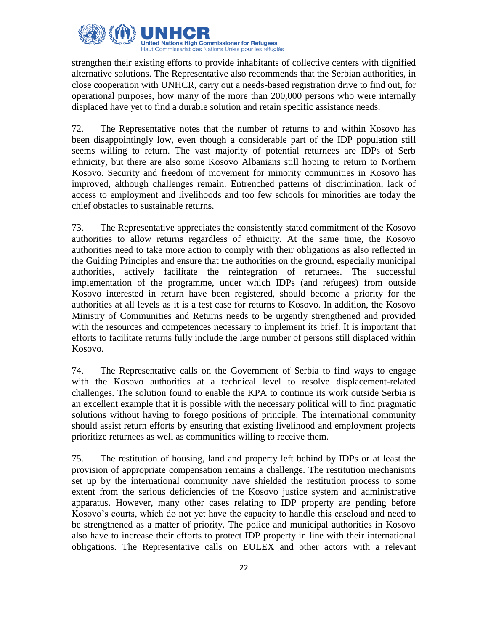

strengthen their existing efforts to provide inhabitants of collective centers with dignified alternative solutions. The Representative also recommends that the Serbian authorities, in close cooperation with UNHCR, carry out a needs-based registration drive to find out, for operational purposes, how many of the more than 200,000 persons who were internally displaced have yet to find a durable solution and retain specific assistance needs.

72. The Representative notes that the number of returns to and within Kosovo has been disappointingly low, even though a considerable part of the IDP population still seems willing to return. The vast majority of potential returnees are IDPs of Serb ethnicity, but there are also some Kosovo Albanians still hoping to return to Northern Kosovo. Security and freedom of movement for minority communities in Kosovo has improved, although challenges remain. Entrenched patterns of discrimination, lack of access to employment and livelihoods and too few schools for minorities are today the chief obstacles to sustainable returns.

73. The Representative appreciates the consistently stated commitment of the Kosovo authorities to allow returns regardless of ethnicity. At the same time, the Kosovo authorities need to take more action to comply with their obligations as also reflected in the Guiding Principles and ensure that the authorities on the ground, especially municipal authorities, actively facilitate the reintegration of returnees. The successful implementation of the programme, under which IDPs (and refugees) from outside Kosovo interested in return have been registered, should become a priority for the authorities at all levels as it is a test case for returns to Kosovo. In addition, the Kosovo Ministry of Communities and Returns needs to be urgently strengthened and provided with the resources and competences necessary to implement its brief. It is important that efforts to facilitate returns fully include the large number of persons still displaced within Kosovo.

74. The Representative calls on the Government of Serbia to find ways to engage with the Kosovo authorities at a technical level to resolve displacement-related challenges. The solution found to enable the KPA to continue its work outside Serbia is an excellent example that it is possible with the necessary political will to find pragmatic solutions without having to forego positions of principle. The international community should assist return efforts by ensuring that existing livelihood and employment projects prioritize returnees as well as communities willing to receive them.

75. The restitution of housing, land and property left behind by IDPs or at least the provision of appropriate compensation remains a challenge. The restitution mechanisms set up by the international community have shielded the restitution process to some extent from the serious deficiencies of the Kosovo justice system and administrative apparatus. However, many other cases relating to IDP property are pending before Kosovo"s courts, which do not yet have the capacity to handle this caseload and need to be strengthened as a matter of priority. The police and municipal authorities in Kosovo also have to increase their efforts to protect IDP property in line with their international obligations. The Representative calls on EULEX and other actors with a relevant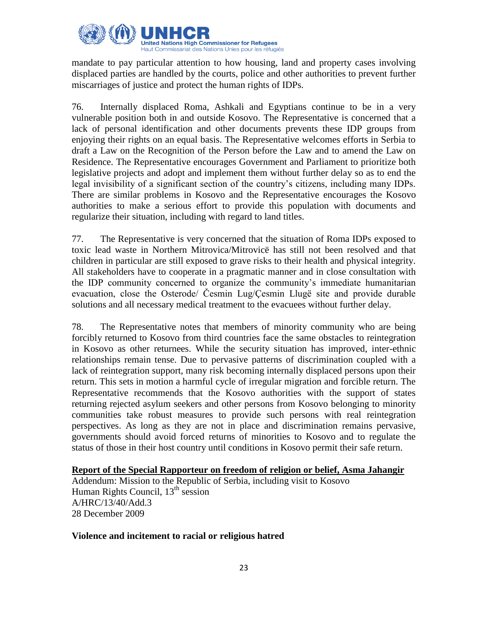

mandate to pay particular attention to how housing, land and property cases involving displaced parties are handled by the courts, police and other authorities to prevent further miscarriages of justice and protect the human rights of IDPs.

76. Internally displaced Roma, Ashkali and Egyptians continue to be in a very vulnerable position both in and outside Kosovo. The Representative is concerned that a lack of personal identification and other documents prevents these IDP groups from enjoying their rights on an equal basis. The Representative welcomes efforts in Serbia to draft a Law on the Recognition of the Person before the Law and to amend the Law on Residence. The Representative encourages Government and Parliament to prioritize both legislative projects and adopt and implement them without further delay so as to end the legal invisibility of a significant section of the country"s citizens, including many IDPs. There are similar problems in Kosovo and the Representative encourages the Kosovo authorities to make a serious effort to provide this population with documents and regularize their situation, including with regard to land titles.

77. The Representative is very concerned that the situation of Roma IDPs exposed to toxic lead waste in Northern Mitrovica/Mitrovicë has still not been resolved and that children in particular are still exposed to grave risks to their health and physical integrity. All stakeholders have to cooperate in a pragmatic manner and in close consultation with the IDP community concerned to organize the community"s immediate humanitarian evacuation, close the Osterode/ Česmin Lug/Çesmin Llugë site and provide durable solutions and all necessary medical treatment to the evacuees without further delay.

78. The Representative notes that members of minority community who are being forcibly returned to Kosovo from third countries face the same obstacles to reintegration in Kosovo as other returnees. While the security situation has improved, inter-ethnic relationships remain tense. Due to pervasive patterns of discrimination coupled with a lack of reintegration support, many risk becoming internally displaced persons upon their return. This sets in motion a harmful cycle of irregular migration and forcible return. The Representative recommends that the Kosovo authorities with the support of states returning rejected asylum seekers and other persons from Kosovo belonging to minority communities take robust measures to provide such persons with real reintegration perspectives. As long as they are not in place and discrimination remains pervasive, governments should avoid forced returns of minorities to Kosovo and to regulate the status of those in their host country until conditions in Kosovo permit their safe return.

**Report of the Special Rapporteur on freedom of religion or belief, Asma Jahangir** Addendum: Mission to the Republic of Serbia, including visit to Kosovo Human Rights Council,  $13<sup>th</sup>$  session A/HRC/13/40/Add.3 28 December 2009

#### **Violence and incitement to racial or religious hatred**